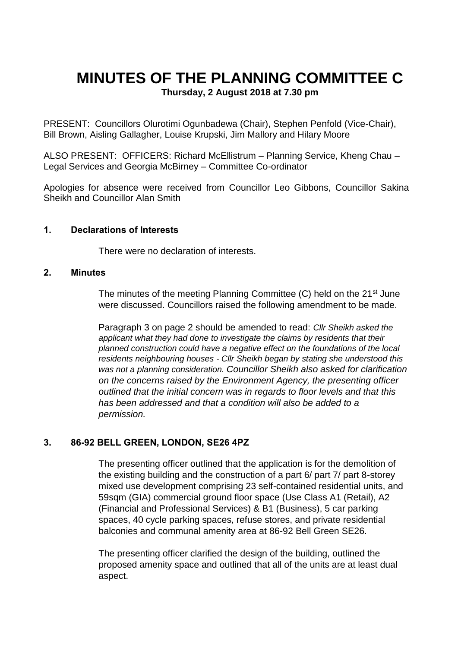# **MINUTES OF THE PLANNING COMMITTEE C**

**Thursday, 2 August 2018 at 7.30 pm**

PRESENT: Councillors Olurotimi Ogunbadewa (Chair), Stephen Penfold (Vice-Chair), Bill Brown, Aisling Gallagher, Louise Krupski, Jim Mallory and Hilary Moore

ALSO PRESENT: OFFICERS: Richard McEllistrum – Planning Service, Kheng Chau – Legal Services and Georgia McBirney – Committee Co-ordinator

Apologies for absence were received from Councillor Leo Gibbons, Councillor Sakina Sheikh and Councillor Alan Smith

#### **1. Declarations of Interests**

There were no declaration of interests.

#### **2. Minutes**

The minutes of the meeting Planning Committee (C) held on the 21<sup>st</sup> June were discussed. Councillors raised the following amendment to be made.

Paragraph 3 on page 2 should be amended to read: *Cllr Sheikh asked the applicant what they had done to investigate the claims by residents that their planned construction could have a negative effect on the foundations of the local residents neighbouring houses - Cllr Sheikh began by stating she understood this was not a planning consideration. Councillor Sheikh also asked for clarification on the concerns raised by the Environment Agency, the presenting officer outlined that the initial concern was in regards to floor levels and that this has been addressed and that a condition will also be added to a permission.*

## **3. 86-92 BELL GREEN, LONDON, SE26 4PZ**

The presenting officer outlined that the application is for the demolition of the existing building and the construction of a part 6/ part 7/ part 8-storey mixed use development comprising 23 self-contained residential units, and 59sqm (GIA) commercial ground floor space (Use Class A1 (Retail), A2 (Financial and Professional Services) & B1 (Business), 5 car parking spaces, 40 cycle parking spaces, refuse stores, and private residential balconies and communal amenity area at 86-92 Bell Green SE26.

The presenting officer clarified the design of the building, outlined the proposed amenity space and outlined that all of the units are at least dual aspect.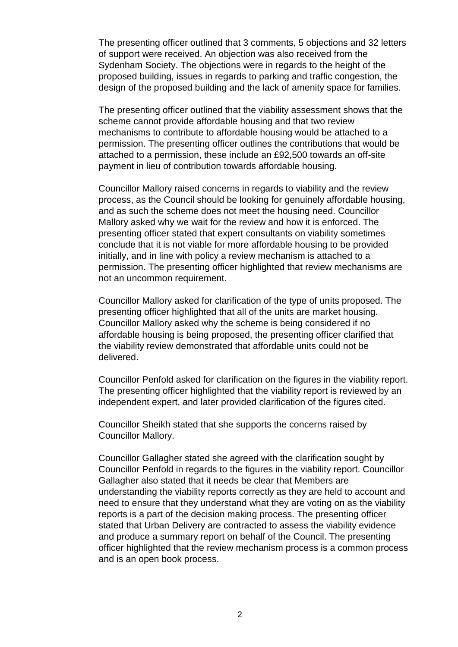The presenting officer outlined that 3 comments, 5 objections and 32 letters of support were received. An objection was also received from the Sydenham Society. The objections were in regards to the height of the proposed building, issues in regards to parking and traffic congestion, the design of the proposed building and the lack of amenity space for families.

The presenting officer outlined that the viability assessment shows that the scheme cannot provide affordable housing and that two review mechanisms to contribute to affordable housing would be attached to a permission. The presenting officer outlines the contributions that would be attached to a permission, these include an £92,500 towards an off-site payment in lieu of contribution towards affordable housing.

Councillor Mallory raised concerns in regards to viability and the review process, as the Council should be looking for genuinely affordable housing, and as such the scheme does not meet the housing need. Councillor Mallory asked why we wait for the review and how it is enforced. The presenting officer stated that expert consultants on viability sometimes conclude that it is not viable for more affordable housing to be provided initially, and in line with policy a review mechanism is attached to a permission. The presenting officer highlighted that review mechanisms are not an uncommon requirement.

Councillor Mallory asked for clarification of the type of units proposed. The presenting officer highlighted that all of the units are market housing. Councillor Mallory asked why the scheme is being considered if no affordable housing is being proposed, the presenting officer clarified that the viability review demonstrated that affordable units could not be delivered.

Councillor Penfold asked for clarification on the figures in the viability report. The presenting officer highlighted that the viability report is reviewed by an independent expert, and later provided clarification of the figures cited.

Councillor Sheikh stated that she supports the concerns raised by Councillor Mallory.

Councillor Gallagher stated she agreed with the clarification sought by Councillor Penfold in regards to the figures in the viability report. Councillor Gallagher also stated that it needs be clear that Members are understanding the viability reports correctly as they are held to account and need to ensure that they understand what they are voting on as the viability reports is a part of the decision making process. The presenting officer stated that Urban Delivery are contracted to assess the viability evidence and produce a summary report on behalf of the Council. The presenting officer highlighted that the review mechanism process is a common process and is an open book process.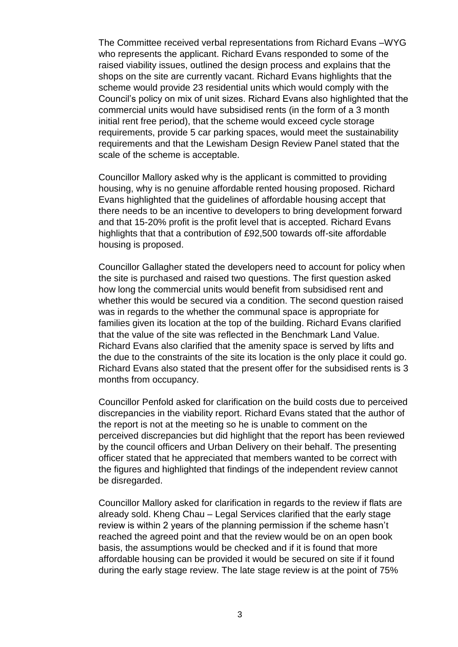The Committee received verbal representations from Richard Evans –WYG who represents the applicant. Richard Evans responded to some of the raised viability issues, outlined the design process and explains that the shops on the site are currently vacant. Richard Evans highlights that the scheme would provide 23 residential units which would comply with the Council's policy on mix of unit sizes. Richard Evans also highlighted that the commercial units would have subsidised rents (in the form of a 3 month initial rent free period), that the scheme would exceed cycle storage requirements, provide 5 car parking spaces, would meet the sustainability requirements and that the Lewisham Design Review Panel stated that the scale of the scheme is acceptable.

Councillor Mallory asked why is the applicant is committed to providing housing, why is no genuine affordable rented housing proposed. Richard Evans highlighted that the guidelines of affordable housing accept that there needs to be an incentive to developers to bring development forward and that 15-20% profit is the profit level that is accepted. Richard Evans highlights that that a contribution of £92,500 towards off-site affordable housing is proposed.

Councillor Gallagher stated the developers need to account for policy when the site is purchased and raised two questions. The first question asked how long the commercial units would benefit from subsidised rent and whether this would be secured via a condition. The second question raised was in regards to the whether the communal space is appropriate for families given its location at the top of the building. Richard Evans clarified that the value of the site was reflected in the Benchmark Land Value. Richard Evans also clarified that the amenity space is served by lifts and the due to the constraints of the site its location is the only place it could go. Richard Evans also stated that the present offer for the subsidised rents is 3 months from occupancy.

Councillor Penfold asked for clarification on the build costs due to perceived discrepancies in the viability report. Richard Evans stated that the author of the report is not at the meeting so he is unable to comment on the perceived discrepancies but did highlight that the report has been reviewed by the council officers and Urban Delivery on their behalf. The presenting officer stated that he appreciated that members wanted to be correct with the figures and highlighted that findings of the independent review cannot be disregarded.

Councillor Mallory asked for clarification in regards to the review if flats are already sold. Kheng Chau – Legal Services clarified that the early stage review is within 2 years of the planning permission if the scheme hasn't reached the agreed point and that the review would be on an open book basis, the assumptions would be checked and if it is found that more affordable housing can be provided it would be secured on site if it found during the early stage review. The late stage review is at the point of 75%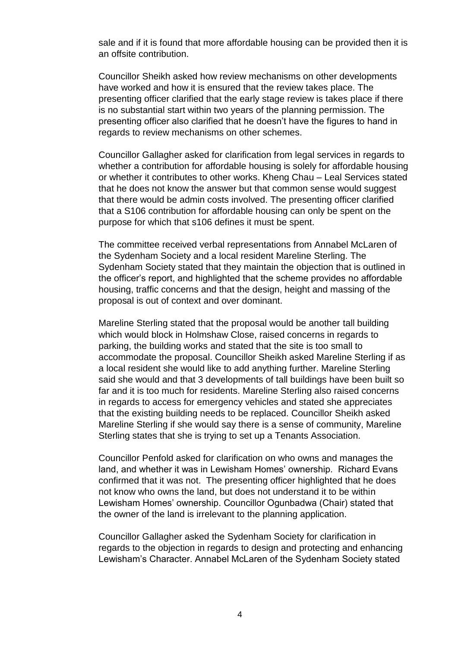sale and if it is found that more affordable housing can be provided then it is an offsite contribution.

Councillor Sheikh asked how review mechanisms on other developments have worked and how it is ensured that the review takes place. The presenting officer clarified that the early stage review is takes place if there is no substantial start within two years of the planning permission. The presenting officer also clarified that he doesn't have the figures to hand in regards to review mechanisms on other schemes.

Councillor Gallagher asked for clarification from legal services in regards to whether a contribution for affordable housing is solely for affordable housing or whether it contributes to other works. Kheng Chau – Leal Services stated that he does not know the answer but that common sense would suggest that there would be admin costs involved. The presenting officer clarified that a S106 contribution for affordable housing can only be spent on the purpose for which that s106 defines it must be spent.

The committee received verbal representations from Annabel McLaren of the Sydenham Society and a local resident Mareline Sterling. The Sydenham Society stated that they maintain the objection that is outlined in the officer's report, and highlighted that the scheme provides no affordable housing, traffic concerns and that the design, height and massing of the proposal is out of context and over dominant.

Mareline Sterling stated that the proposal would be another tall building which would block in Holmshaw Close, raised concerns in regards to parking, the building works and stated that the site is too small to accommodate the proposal. Councillor Sheikh asked Mareline Sterling if as a local resident she would like to add anything further. Mareline Sterling said she would and that 3 developments of tall buildings have been built so far and it is too much for residents. Mareline Sterling also raised concerns in regards to access for emergency vehicles and stated she appreciates that the existing building needs to be replaced. Councillor Sheikh asked Mareline Sterling if she would say there is a sense of community, Mareline Sterling states that she is trying to set up a Tenants Association.

Councillor Penfold asked for clarification on who owns and manages the land, and whether it was in Lewisham Homes' ownership. Richard Evans confirmed that it was not. The presenting officer highlighted that he does not know who owns the land, but does not understand it to be within Lewisham Homes' ownership. Councillor Ogunbadwa (Chair) stated that the owner of the land is irrelevant to the planning application.

Councillor Gallagher asked the Sydenham Society for clarification in regards to the objection in regards to design and protecting and enhancing Lewisham's Character. Annabel McLaren of the Sydenham Society stated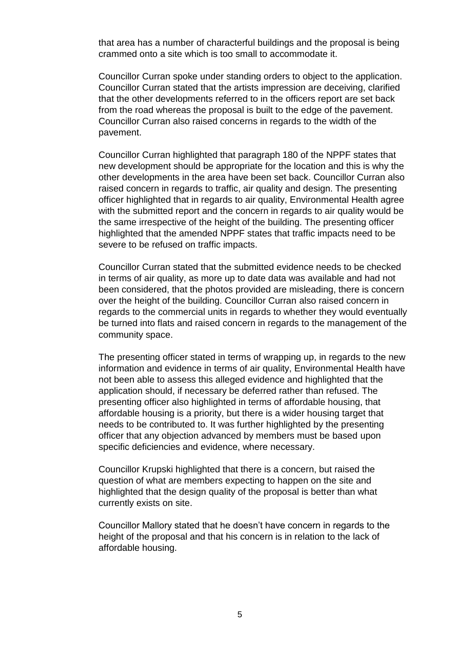that area has a number of characterful buildings and the proposal is being crammed onto a site which is too small to accommodate it.

Councillor Curran spoke under standing orders to object to the application. Councillor Curran stated that the artists impression are deceiving, clarified that the other developments referred to in the officers report are set back from the road whereas the proposal is built to the edge of the pavement. Councillor Curran also raised concerns in regards to the width of the pavement.

Councillor Curran highlighted that paragraph 180 of the NPPF states that new development should be appropriate for the location and this is why the other developments in the area have been set back. Councillor Curran also raised concern in regards to traffic, air quality and design. The presenting officer highlighted that in regards to air quality, Environmental Health agree with the submitted report and the concern in regards to air quality would be the same irrespective of the height of the building. The presenting officer highlighted that the amended NPPF states that traffic impacts need to be severe to be refused on traffic impacts.

Councillor Curran stated that the submitted evidence needs to be checked in terms of air quality, as more up to date data was available and had not been considered, that the photos provided are misleading, there is concern over the height of the building. Councillor Curran also raised concern in regards to the commercial units in regards to whether they would eventually be turned into flats and raised concern in regards to the management of the community space.

The presenting officer stated in terms of wrapping up, in regards to the new information and evidence in terms of air quality, Environmental Health have not been able to assess this alleged evidence and highlighted that the application should, if necessary be deferred rather than refused. The presenting officer also highlighted in terms of affordable housing, that affordable housing is a priority, but there is a wider housing target that needs to be contributed to. It was further highlighted by the presenting officer that any objection advanced by members must be based upon specific deficiencies and evidence, where necessary.

Councillor Krupski highlighted that there is a concern, but raised the question of what are members expecting to happen on the site and highlighted that the design quality of the proposal is better than what currently exists on site.

Councillor Mallory stated that he doesn't have concern in regards to the height of the proposal and that his concern is in relation to the lack of affordable housing.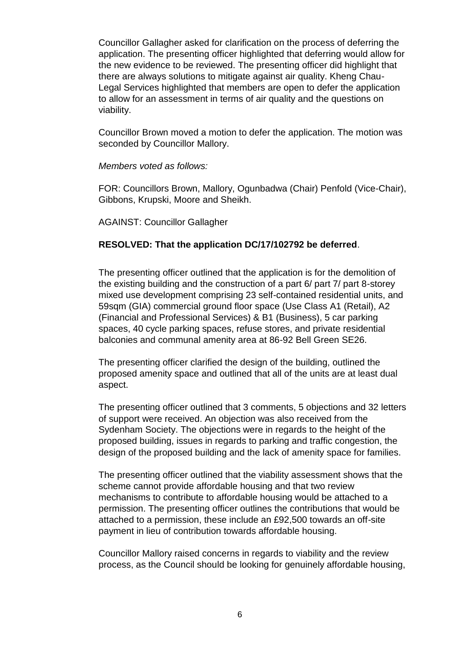Councillor Gallagher asked for clarification on the process of deferring the application. The presenting officer highlighted that deferring would allow for the new evidence to be reviewed. The presenting officer did highlight that there are always solutions to mitigate against air quality. Kheng Chau-Legal Services highlighted that members are open to defer the application to allow for an assessment in terms of air quality and the questions on viability.

Councillor Brown moved a motion to defer the application. The motion was seconded by Councillor Mallory.

#### *Members voted as follows:*

FOR: Councillors Brown, Mallory, Ogunbadwa (Chair) Penfold (Vice-Chair), Gibbons, Krupski, Moore and Sheikh.

AGAINST: Councillor Gallagher

## **RESOLVED: That the application DC/17/102792 be deferred**.

The presenting officer outlined that the application is for the demolition of the existing building and the construction of a part 6/ part 7/ part 8-storey mixed use development comprising 23 self-contained residential units, and 59sqm (GIA) commercial ground floor space (Use Class A1 (Retail), A2 (Financial and Professional Services) & B1 (Business), 5 car parking spaces, 40 cycle parking spaces, refuse stores, and private residential balconies and communal amenity area at 86-92 Bell Green SE26.

The presenting officer clarified the design of the building, outlined the proposed amenity space and outlined that all of the units are at least dual aspect.

The presenting officer outlined that 3 comments, 5 objections and 32 letters of support were received. An objection was also received from the Sydenham Society. The objections were in regards to the height of the proposed building, issues in regards to parking and traffic congestion, the design of the proposed building and the lack of amenity space for families.

The presenting officer outlined that the viability assessment shows that the scheme cannot provide affordable housing and that two review mechanisms to contribute to affordable housing would be attached to a permission. The presenting officer outlines the contributions that would be attached to a permission, these include an £92,500 towards an off-site payment in lieu of contribution towards affordable housing.

Councillor Mallory raised concerns in regards to viability and the review process, as the Council should be looking for genuinely affordable housing,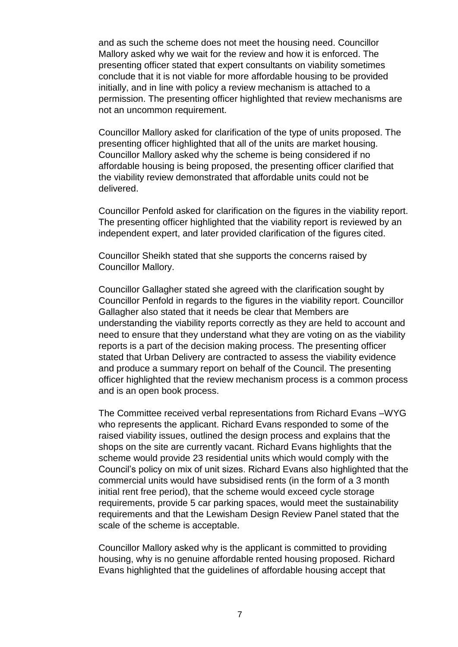and as such the scheme does not meet the housing need. Councillor Mallory asked why we wait for the review and how it is enforced. The presenting officer stated that expert consultants on viability sometimes conclude that it is not viable for more affordable housing to be provided initially, and in line with policy a review mechanism is attached to a permission. The presenting officer highlighted that review mechanisms are not an uncommon requirement.

Councillor Mallory asked for clarification of the type of units proposed. The presenting officer highlighted that all of the units are market housing. Councillor Mallory asked why the scheme is being considered if no affordable housing is being proposed, the presenting officer clarified that the viability review demonstrated that affordable units could not be delivered.

Councillor Penfold asked for clarification on the figures in the viability report. The presenting officer highlighted that the viability report is reviewed by an independent expert, and later provided clarification of the figures cited.

Councillor Sheikh stated that she supports the concerns raised by Councillor Mallory.

Councillor Gallagher stated she agreed with the clarification sought by Councillor Penfold in regards to the figures in the viability report. Councillor Gallagher also stated that it needs be clear that Members are understanding the viability reports correctly as they are held to account and need to ensure that they understand what they are voting on as the viability reports is a part of the decision making process. The presenting officer stated that Urban Delivery are contracted to assess the viability evidence and produce a summary report on behalf of the Council. The presenting officer highlighted that the review mechanism process is a common process and is an open book process.

The Committee received verbal representations from Richard Evans –WYG who represents the applicant. Richard Evans responded to some of the raised viability issues, outlined the design process and explains that the shops on the site are currently vacant. Richard Evans highlights that the scheme would provide 23 residential units which would comply with the Council's policy on mix of unit sizes. Richard Evans also highlighted that the commercial units would have subsidised rents (in the form of a 3 month initial rent free period), that the scheme would exceed cycle storage requirements, provide 5 car parking spaces, would meet the sustainability requirements and that the Lewisham Design Review Panel stated that the scale of the scheme is acceptable.

Councillor Mallory asked why is the applicant is committed to providing housing, why is no genuine affordable rented housing proposed. Richard Evans highlighted that the guidelines of affordable housing accept that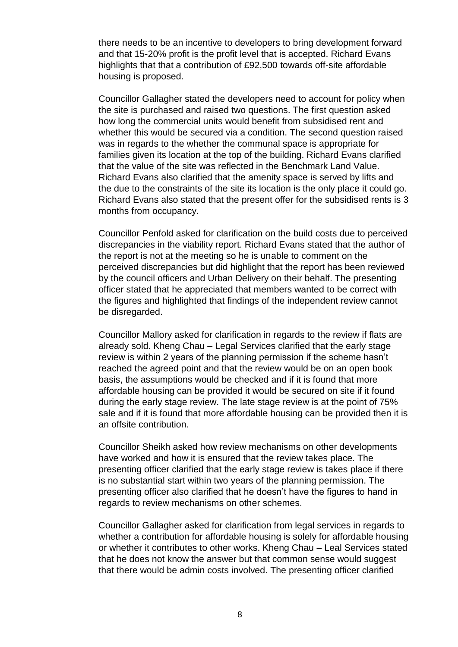there needs to be an incentive to developers to bring development forward and that 15-20% profit is the profit level that is accepted. Richard Evans highlights that that a contribution of £92,500 towards off-site affordable housing is proposed.

Councillor Gallagher stated the developers need to account for policy when the site is purchased and raised two questions. The first question asked how long the commercial units would benefit from subsidised rent and whether this would be secured via a condition. The second question raised was in regards to the whether the communal space is appropriate for families given its location at the top of the building. Richard Evans clarified that the value of the site was reflected in the Benchmark Land Value. Richard Evans also clarified that the amenity space is served by lifts and the due to the constraints of the site its location is the only place it could go. Richard Evans also stated that the present offer for the subsidised rents is 3 months from occupancy.

Councillor Penfold asked for clarification on the build costs due to perceived discrepancies in the viability report. Richard Evans stated that the author of the report is not at the meeting so he is unable to comment on the perceived discrepancies but did highlight that the report has been reviewed by the council officers and Urban Delivery on their behalf. The presenting officer stated that he appreciated that members wanted to be correct with the figures and highlighted that findings of the independent review cannot be disregarded.

Councillor Mallory asked for clarification in regards to the review if flats are already sold. Kheng Chau – Legal Services clarified that the early stage review is within 2 years of the planning permission if the scheme hasn't reached the agreed point and that the review would be on an open book basis, the assumptions would be checked and if it is found that more affordable housing can be provided it would be secured on site if it found during the early stage review. The late stage review is at the point of 75% sale and if it is found that more affordable housing can be provided then it is an offsite contribution.

Councillor Sheikh asked how review mechanisms on other developments have worked and how it is ensured that the review takes place. The presenting officer clarified that the early stage review is takes place if there is no substantial start within two years of the planning permission. The presenting officer also clarified that he doesn't have the figures to hand in regards to review mechanisms on other schemes.

Councillor Gallagher asked for clarification from legal services in regards to whether a contribution for affordable housing is solely for affordable housing or whether it contributes to other works. Kheng Chau – Leal Services stated that he does not know the answer but that common sense would suggest that there would be admin costs involved. The presenting officer clarified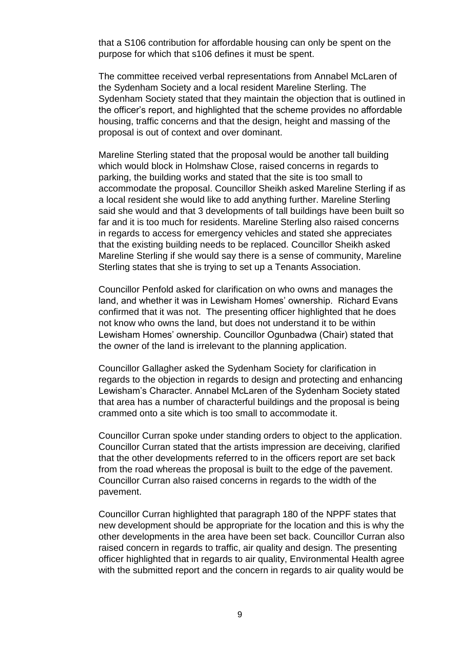that a S106 contribution for affordable housing can only be spent on the purpose for which that s106 defines it must be spent.

The committee received verbal representations from Annabel McLaren of the Sydenham Society and a local resident Mareline Sterling. The Sydenham Society stated that they maintain the objection that is outlined in the officer's report, and highlighted that the scheme provides no affordable housing, traffic concerns and that the design, height and massing of the proposal is out of context and over dominant.

Mareline Sterling stated that the proposal would be another tall building which would block in Holmshaw Close, raised concerns in regards to parking, the building works and stated that the site is too small to accommodate the proposal. Councillor Sheikh asked Mareline Sterling if as a local resident she would like to add anything further. Mareline Sterling said she would and that 3 developments of tall buildings have been built so far and it is too much for residents. Mareline Sterling also raised concerns in regards to access for emergency vehicles and stated she appreciates that the existing building needs to be replaced. Councillor Sheikh asked Mareline Sterling if she would say there is a sense of community, Mareline Sterling states that she is trying to set up a Tenants Association.

Councillor Penfold asked for clarification on who owns and manages the land, and whether it was in Lewisham Homes' ownership. Richard Evans confirmed that it was not. The presenting officer highlighted that he does not know who owns the land, but does not understand it to be within Lewisham Homes' ownership. Councillor Ogunbadwa (Chair) stated that the owner of the land is irrelevant to the planning application.

Councillor Gallagher asked the Sydenham Society for clarification in regards to the objection in regards to design and protecting and enhancing Lewisham's Character. Annabel McLaren of the Sydenham Society stated that area has a number of characterful buildings and the proposal is being crammed onto a site which is too small to accommodate it.

Councillor Curran spoke under standing orders to object to the application. Councillor Curran stated that the artists impression are deceiving, clarified that the other developments referred to in the officers report are set back from the road whereas the proposal is built to the edge of the pavement. Councillor Curran also raised concerns in regards to the width of the pavement.

Councillor Curran highlighted that paragraph 180 of the NPPF states that new development should be appropriate for the location and this is why the other developments in the area have been set back. Councillor Curran also raised concern in regards to traffic, air quality and design. The presenting officer highlighted that in regards to air quality, Environmental Health agree with the submitted report and the concern in regards to air quality would be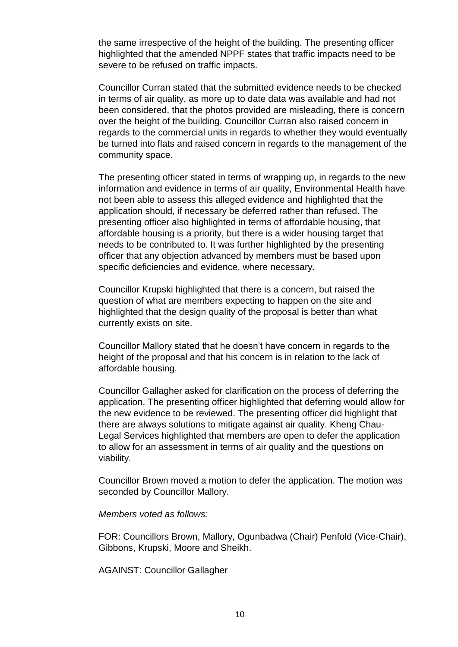the same irrespective of the height of the building. The presenting officer highlighted that the amended NPPF states that traffic impacts need to be severe to be refused on traffic impacts.

Councillor Curran stated that the submitted evidence needs to be checked in terms of air quality, as more up to date data was available and had not been considered, that the photos provided are misleading, there is concern over the height of the building. Councillor Curran also raised concern in regards to the commercial units in regards to whether they would eventually be turned into flats and raised concern in regards to the management of the community space.

The presenting officer stated in terms of wrapping up, in regards to the new information and evidence in terms of air quality, Environmental Health have not been able to assess this alleged evidence and highlighted that the application should, if necessary be deferred rather than refused. The presenting officer also highlighted in terms of affordable housing, that affordable housing is a priority, but there is a wider housing target that needs to be contributed to. It was further highlighted by the presenting officer that any objection advanced by members must be based upon specific deficiencies and evidence, where necessary.

Councillor Krupski highlighted that there is a concern, but raised the question of what are members expecting to happen on the site and highlighted that the design quality of the proposal is better than what currently exists on site.

Councillor Mallory stated that he doesn't have concern in regards to the height of the proposal and that his concern is in relation to the lack of affordable housing.

Councillor Gallagher asked for clarification on the process of deferring the application. The presenting officer highlighted that deferring would allow for the new evidence to be reviewed. The presenting officer did highlight that there are always solutions to mitigate against air quality. Kheng Chau-Legal Services highlighted that members are open to defer the application to allow for an assessment in terms of air quality and the questions on viability.

Councillor Brown moved a motion to defer the application. The motion was seconded by Councillor Mallory.

#### *Members voted as follows:*

FOR: Councillors Brown, Mallory, Ogunbadwa (Chair) Penfold (Vice-Chair), Gibbons, Krupski, Moore and Sheikh.

AGAINST: Councillor Gallagher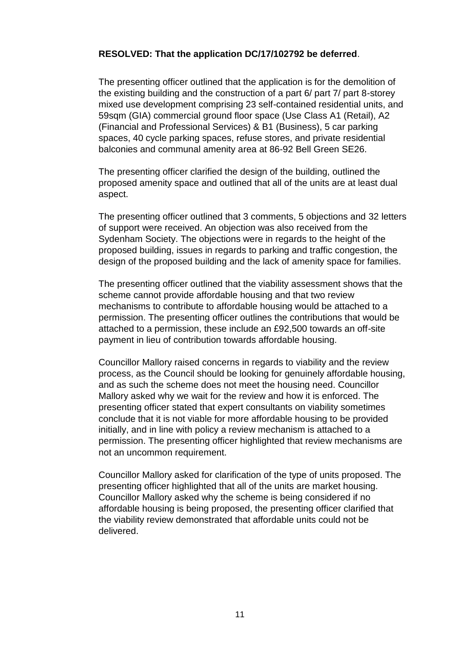## **RESOLVED: That the application DC/17/102792 be deferred**.

The presenting officer outlined that the application is for the demolition of the existing building and the construction of a part 6/ part 7/ part 8-storey mixed use development comprising 23 self-contained residential units, and 59sqm (GIA) commercial ground floor space (Use Class A1 (Retail), A2 (Financial and Professional Services) & B1 (Business), 5 car parking spaces, 40 cycle parking spaces, refuse stores, and private residential balconies and communal amenity area at 86-92 Bell Green SE26.

The presenting officer clarified the design of the building, outlined the proposed amenity space and outlined that all of the units are at least dual aspect.

The presenting officer outlined that 3 comments, 5 objections and 32 letters of support were received. An objection was also received from the Sydenham Society. The objections were in regards to the height of the proposed building, issues in regards to parking and traffic congestion, the design of the proposed building and the lack of amenity space for families.

The presenting officer outlined that the viability assessment shows that the scheme cannot provide affordable housing and that two review mechanisms to contribute to affordable housing would be attached to a permission. The presenting officer outlines the contributions that would be attached to a permission, these include an £92,500 towards an off-site payment in lieu of contribution towards affordable housing.

Councillor Mallory raised concerns in regards to viability and the review process, as the Council should be looking for genuinely affordable housing, and as such the scheme does not meet the housing need. Councillor Mallory asked why we wait for the review and how it is enforced. The presenting officer stated that expert consultants on viability sometimes conclude that it is not viable for more affordable housing to be provided initially, and in line with policy a review mechanism is attached to a permission. The presenting officer highlighted that review mechanisms are not an uncommon requirement.

Councillor Mallory asked for clarification of the type of units proposed. The presenting officer highlighted that all of the units are market housing. Councillor Mallory asked why the scheme is being considered if no affordable housing is being proposed, the presenting officer clarified that the viability review demonstrated that affordable units could not be delivered.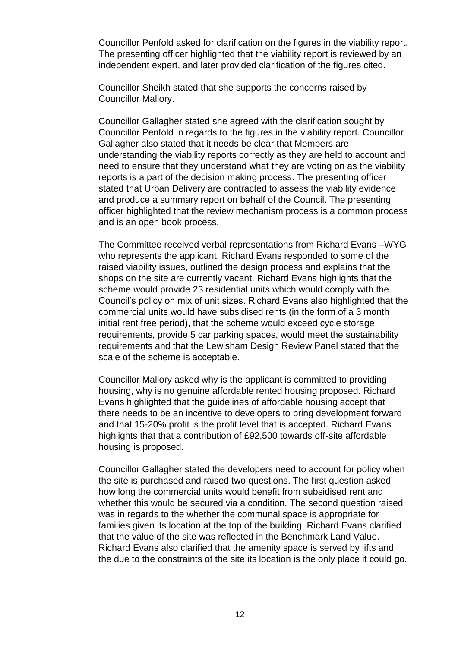Councillor Penfold asked for clarification on the figures in the viability report. The presenting officer highlighted that the viability report is reviewed by an independent expert, and later provided clarification of the figures cited.

Councillor Sheikh stated that she supports the concerns raised by Councillor Mallory.

Councillor Gallagher stated she agreed with the clarification sought by Councillor Penfold in regards to the figures in the viability report. Councillor Gallagher also stated that it needs be clear that Members are understanding the viability reports correctly as they are held to account and need to ensure that they understand what they are voting on as the viability reports is a part of the decision making process. The presenting officer stated that Urban Delivery are contracted to assess the viability evidence and produce a summary report on behalf of the Council. The presenting officer highlighted that the review mechanism process is a common process and is an open book process.

The Committee received verbal representations from Richard Evans –WYG who represents the applicant. Richard Evans responded to some of the raised viability issues, outlined the design process and explains that the shops on the site are currently vacant. Richard Evans highlights that the scheme would provide 23 residential units which would comply with the Council's policy on mix of unit sizes. Richard Evans also highlighted that the commercial units would have subsidised rents (in the form of a 3 month initial rent free period), that the scheme would exceed cycle storage requirements, provide 5 car parking spaces, would meet the sustainability requirements and that the Lewisham Design Review Panel stated that the scale of the scheme is acceptable.

Councillor Mallory asked why is the applicant is committed to providing housing, why is no genuine affordable rented housing proposed. Richard Evans highlighted that the guidelines of affordable housing accept that there needs to be an incentive to developers to bring development forward and that 15-20% profit is the profit level that is accepted. Richard Evans highlights that that a contribution of £92,500 towards off-site affordable housing is proposed.

Councillor Gallagher stated the developers need to account for policy when the site is purchased and raised two questions. The first question asked how long the commercial units would benefit from subsidised rent and whether this would be secured via a condition. The second question raised was in regards to the whether the communal space is appropriate for families given its location at the top of the building. Richard Evans clarified that the value of the site was reflected in the Benchmark Land Value. Richard Evans also clarified that the amenity space is served by lifts and the due to the constraints of the site its location is the only place it could go.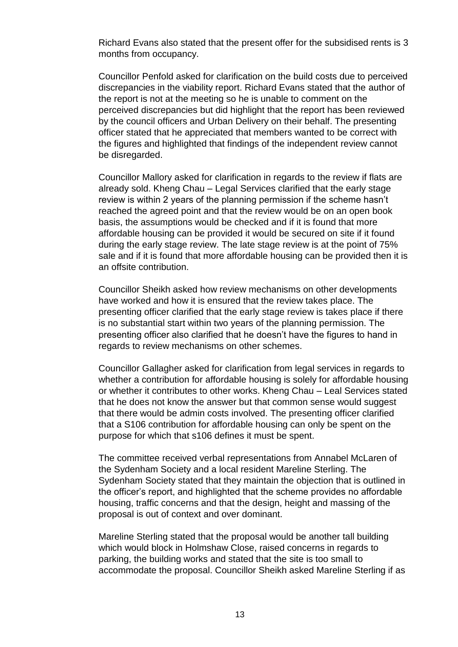Richard Evans also stated that the present offer for the subsidised rents is 3 months from occupancy.

Councillor Penfold asked for clarification on the build costs due to perceived discrepancies in the viability report. Richard Evans stated that the author of the report is not at the meeting so he is unable to comment on the perceived discrepancies but did highlight that the report has been reviewed by the council officers and Urban Delivery on their behalf. The presenting officer stated that he appreciated that members wanted to be correct with the figures and highlighted that findings of the independent review cannot be disregarded.

Councillor Mallory asked for clarification in regards to the review if flats are already sold. Kheng Chau – Legal Services clarified that the early stage review is within 2 years of the planning permission if the scheme hasn't reached the agreed point and that the review would be on an open book basis, the assumptions would be checked and if it is found that more affordable housing can be provided it would be secured on site if it found during the early stage review. The late stage review is at the point of 75% sale and if it is found that more affordable housing can be provided then it is an offsite contribution.

Councillor Sheikh asked how review mechanisms on other developments have worked and how it is ensured that the review takes place. The presenting officer clarified that the early stage review is takes place if there is no substantial start within two years of the planning permission. The presenting officer also clarified that he doesn't have the figures to hand in regards to review mechanisms on other schemes.

Councillor Gallagher asked for clarification from legal services in regards to whether a contribution for affordable housing is solely for affordable housing or whether it contributes to other works. Kheng Chau – Leal Services stated that he does not know the answer but that common sense would suggest that there would be admin costs involved. The presenting officer clarified that a S106 contribution for affordable housing can only be spent on the purpose for which that s106 defines it must be spent.

The committee received verbal representations from Annabel McLaren of the Sydenham Society and a local resident Mareline Sterling. The Sydenham Society stated that they maintain the objection that is outlined in the officer's report, and highlighted that the scheme provides no affordable housing, traffic concerns and that the design, height and massing of the proposal is out of context and over dominant.

Mareline Sterling stated that the proposal would be another tall building which would block in Holmshaw Close, raised concerns in regards to parking, the building works and stated that the site is too small to accommodate the proposal. Councillor Sheikh asked Mareline Sterling if as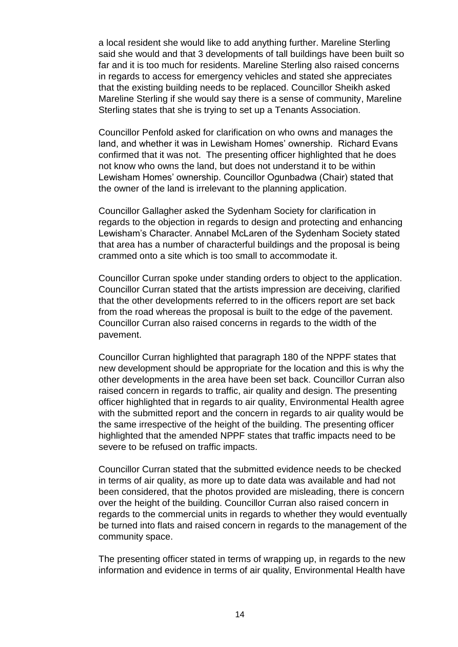a local resident she would like to add anything further. Mareline Sterling said she would and that 3 developments of tall buildings have been built so far and it is too much for residents. Mareline Sterling also raised concerns in regards to access for emergency vehicles and stated she appreciates that the existing building needs to be replaced. Councillor Sheikh asked Mareline Sterling if she would say there is a sense of community, Mareline Sterling states that she is trying to set up a Tenants Association.

Councillor Penfold asked for clarification on who owns and manages the land, and whether it was in Lewisham Homes' ownership. Richard Evans confirmed that it was not. The presenting officer highlighted that he does not know who owns the land, but does not understand it to be within Lewisham Homes' ownership. Councillor Ogunbadwa (Chair) stated that the owner of the land is irrelevant to the planning application.

Councillor Gallagher asked the Sydenham Society for clarification in regards to the objection in regards to design and protecting and enhancing Lewisham's Character. Annabel McLaren of the Sydenham Society stated that area has a number of characterful buildings and the proposal is being crammed onto a site which is too small to accommodate it.

Councillor Curran spoke under standing orders to object to the application. Councillor Curran stated that the artists impression are deceiving, clarified that the other developments referred to in the officers report are set back from the road whereas the proposal is built to the edge of the pavement. Councillor Curran also raised concerns in regards to the width of the pavement.

Councillor Curran highlighted that paragraph 180 of the NPPF states that new development should be appropriate for the location and this is why the other developments in the area have been set back. Councillor Curran also raised concern in regards to traffic, air quality and design. The presenting officer highlighted that in regards to air quality, Environmental Health agree with the submitted report and the concern in regards to air quality would be the same irrespective of the height of the building. The presenting officer highlighted that the amended NPPF states that traffic impacts need to be severe to be refused on traffic impacts.

Councillor Curran stated that the submitted evidence needs to be checked in terms of air quality, as more up to date data was available and had not been considered, that the photos provided are misleading, there is concern over the height of the building. Councillor Curran also raised concern in regards to the commercial units in regards to whether they would eventually be turned into flats and raised concern in regards to the management of the community space.

The presenting officer stated in terms of wrapping up, in regards to the new information and evidence in terms of air quality, Environmental Health have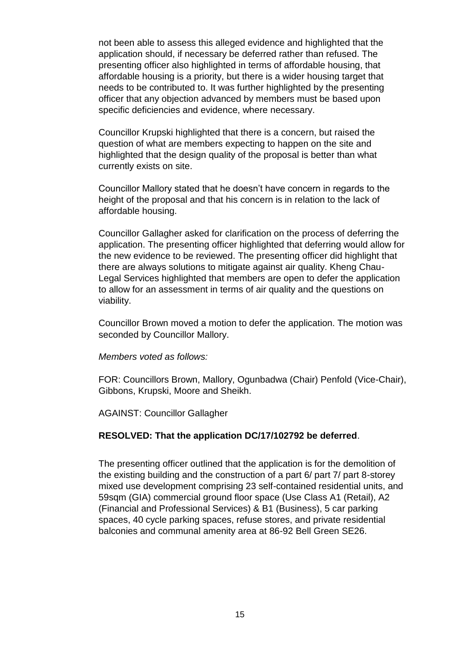not been able to assess this alleged evidence and highlighted that the application should, if necessary be deferred rather than refused. The presenting officer also highlighted in terms of affordable housing, that affordable housing is a priority, but there is a wider housing target that needs to be contributed to. It was further highlighted by the presenting officer that any objection advanced by members must be based upon specific deficiencies and evidence, where necessary.

Councillor Krupski highlighted that there is a concern, but raised the question of what are members expecting to happen on the site and highlighted that the design quality of the proposal is better than what currently exists on site.

Councillor Mallory stated that he doesn't have concern in regards to the height of the proposal and that his concern is in relation to the lack of affordable housing.

Councillor Gallagher asked for clarification on the process of deferring the application. The presenting officer highlighted that deferring would allow for the new evidence to be reviewed. The presenting officer did highlight that there are always solutions to mitigate against air quality. Kheng Chau-Legal Services highlighted that members are open to defer the application to allow for an assessment in terms of air quality and the questions on viability.

Councillor Brown moved a motion to defer the application. The motion was seconded by Councillor Mallory.

*Members voted as follows:* 

FOR: Councillors Brown, Mallory, Ogunbadwa (Chair) Penfold (Vice-Chair), Gibbons, Krupski, Moore and Sheikh.

AGAINST: Councillor Gallagher

#### **RESOLVED: That the application DC/17/102792 be deferred**.

The presenting officer outlined that the application is for the demolition of the existing building and the construction of a part 6/ part 7/ part 8-storey mixed use development comprising 23 self-contained residential units, and 59sqm (GIA) commercial ground floor space (Use Class A1 (Retail), A2 (Financial and Professional Services) & B1 (Business), 5 car parking spaces, 40 cycle parking spaces, refuse stores, and private residential balconies and communal amenity area at 86-92 Bell Green SE26.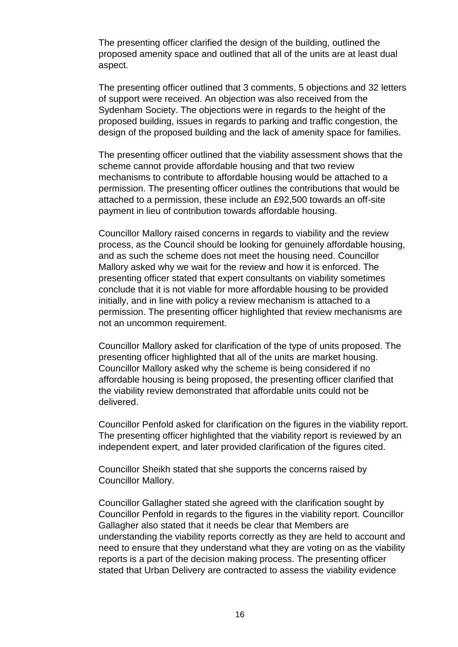The presenting officer clarified the design of the building, outlined the proposed amenity space and outlined that all of the units are at least dual aspect.

The presenting officer outlined that 3 comments, 5 objections and 32 letters of support were received. An objection was also received from the Sydenham Society. The objections were in regards to the height of the proposed building, issues in regards to parking and traffic congestion, the design of the proposed building and the lack of amenity space for families.

The presenting officer outlined that the viability assessment shows that the scheme cannot provide affordable housing and that two review mechanisms to contribute to affordable housing would be attached to a permission. The presenting officer outlines the contributions that would be attached to a permission, these include an £92,500 towards an off-site payment in lieu of contribution towards affordable housing.

Councillor Mallory raised concerns in regards to viability and the review process, as the Council should be looking for genuinely affordable housing, and as such the scheme does not meet the housing need. Councillor Mallory asked why we wait for the review and how it is enforced. The presenting officer stated that expert consultants on viability sometimes conclude that it is not viable for more affordable housing to be provided initially, and in line with policy a review mechanism is attached to a permission. The presenting officer highlighted that review mechanisms are not an uncommon requirement.

Councillor Mallory asked for clarification of the type of units proposed. The presenting officer highlighted that all of the units are market housing. Councillor Mallory asked why the scheme is being considered if no affordable housing is being proposed, the presenting officer clarified that the viability review demonstrated that affordable units could not be delivered.

Councillor Penfold asked for clarification on the figures in the viability report. The presenting officer highlighted that the viability report is reviewed by an independent expert, and later provided clarification of the figures cited.

Councillor Sheikh stated that she supports the concerns raised by Councillor Mallory.

Councillor Gallagher stated she agreed with the clarification sought by Councillor Penfold in regards to the figures in the viability report. Councillor Gallagher also stated that it needs be clear that Members are understanding the viability reports correctly as they are held to account and need to ensure that they understand what they are voting on as the viability reports is a part of the decision making process. The presenting officer stated that Urban Delivery are contracted to assess the viability evidence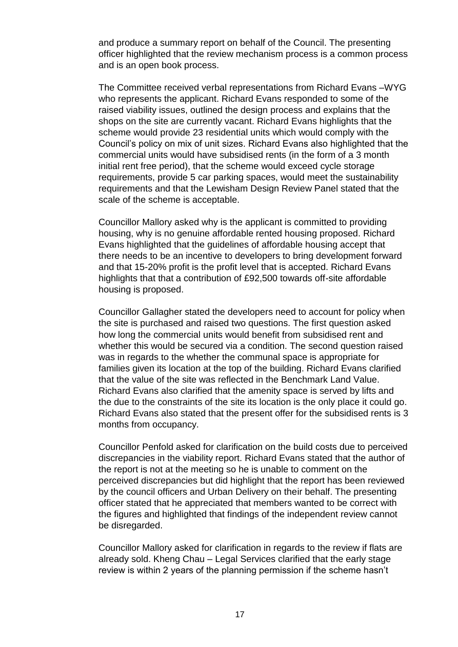and produce a summary report on behalf of the Council. The presenting officer highlighted that the review mechanism process is a common process and is an open book process.

The Committee received verbal representations from Richard Evans –WYG who represents the applicant. Richard Evans responded to some of the raised viability issues, outlined the design process and explains that the shops on the site are currently vacant. Richard Evans highlights that the scheme would provide 23 residential units which would comply with the Council's policy on mix of unit sizes. Richard Evans also highlighted that the commercial units would have subsidised rents (in the form of a 3 month initial rent free period), that the scheme would exceed cycle storage requirements, provide 5 car parking spaces, would meet the sustainability requirements and that the Lewisham Design Review Panel stated that the scale of the scheme is acceptable.

Councillor Mallory asked why is the applicant is committed to providing housing, why is no genuine affordable rented housing proposed. Richard Evans highlighted that the guidelines of affordable housing accept that there needs to be an incentive to developers to bring development forward and that 15-20% profit is the profit level that is accepted. Richard Evans highlights that that a contribution of £92,500 towards off-site affordable housing is proposed.

Councillor Gallagher stated the developers need to account for policy when the site is purchased and raised two questions. The first question asked how long the commercial units would benefit from subsidised rent and whether this would be secured via a condition. The second question raised was in regards to the whether the communal space is appropriate for families given its location at the top of the building. Richard Evans clarified that the value of the site was reflected in the Benchmark Land Value. Richard Evans also clarified that the amenity space is served by lifts and the due to the constraints of the site its location is the only place it could go. Richard Evans also stated that the present offer for the subsidised rents is 3 months from occupancy.

Councillor Penfold asked for clarification on the build costs due to perceived discrepancies in the viability report. Richard Evans stated that the author of the report is not at the meeting so he is unable to comment on the perceived discrepancies but did highlight that the report has been reviewed by the council officers and Urban Delivery on their behalf. The presenting officer stated that he appreciated that members wanted to be correct with the figures and highlighted that findings of the independent review cannot be disregarded.

Councillor Mallory asked for clarification in regards to the review if flats are already sold. Kheng Chau – Legal Services clarified that the early stage review is within 2 years of the planning permission if the scheme hasn't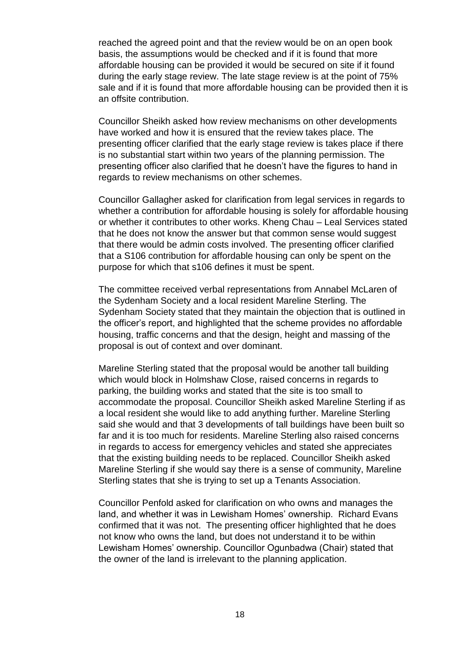reached the agreed point and that the review would be on an open book basis, the assumptions would be checked and if it is found that more affordable housing can be provided it would be secured on site if it found during the early stage review. The late stage review is at the point of 75% sale and if it is found that more affordable housing can be provided then it is an offsite contribution.

Councillor Sheikh asked how review mechanisms on other developments have worked and how it is ensured that the review takes place. The presenting officer clarified that the early stage review is takes place if there is no substantial start within two years of the planning permission. The presenting officer also clarified that he doesn't have the figures to hand in regards to review mechanisms on other schemes.

Councillor Gallagher asked for clarification from legal services in regards to whether a contribution for affordable housing is solely for affordable housing or whether it contributes to other works. Kheng Chau – Leal Services stated that he does not know the answer but that common sense would suggest that there would be admin costs involved. The presenting officer clarified that a S106 contribution for affordable housing can only be spent on the purpose for which that s106 defines it must be spent.

The committee received verbal representations from Annabel McLaren of the Sydenham Society and a local resident Mareline Sterling. The Sydenham Society stated that they maintain the objection that is outlined in the officer's report, and highlighted that the scheme provides no affordable housing, traffic concerns and that the design, height and massing of the proposal is out of context and over dominant.

Mareline Sterling stated that the proposal would be another tall building which would block in Holmshaw Close, raised concerns in regards to parking, the building works and stated that the site is too small to accommodate the proposal. Councillor Sheikh asked Mareline Sterling if as a local resident she would like to add anything further. Mareline Sterling said she would and that 3 developments of tall buildings have been built so far and it is too much for residents. Mareline Sterling also raised concerns in regards to access for emergency vehicles and stated she appreciates that the existing building needs to be replaced. Councillor Sheikh asked Mareline Sterling if she would say there is a sense of community, Mareline Sterling states that she is trying to set up a Tenants Association.

Councillor Penfold asked for clarification on who owns and manages the land, and whether it was in Lewisham Homes' ownership. Richard Evans confirmed that it was not. The presenting officer highlighted that he does not know who owns the land, but does not understand it to be within Lewisham Homes' ownership. Councillor Ogunbadwa (Chair) stated that the owner of the land is irrelevant to the planning application.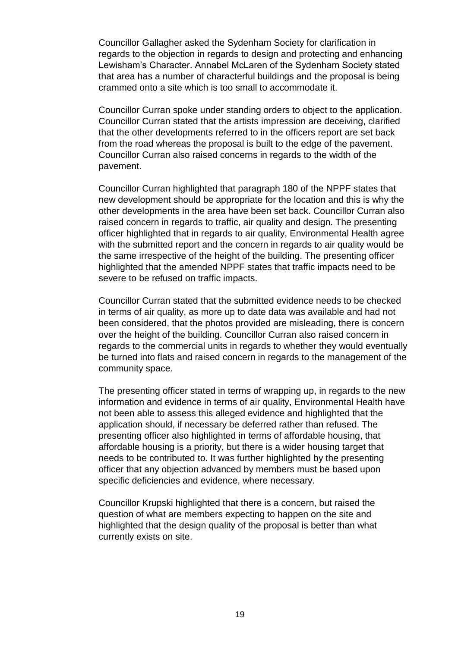Councillor Gallagher asked the Sydenham Society for clarification in regards to the objection in regards to design and protecting and enhancing Lewisham's Character. Annabel McLaren of the Sydenham Society stated that area has a number of characterful buildings and the proposal is being crammed onto a site which is too small to accommodate it.

Councillor Curran spoke under standing orders to object to the application. Councillor Curran stated that the artists impression are deceiving, clarified that the other developments referred to in the officers report are set back from the road whereas the proposal is built to the edge of the pavement. Councillor Curran also raised concerns in regards to the width of the pavement.

Councillor Curran highlighted that paragraph 180 of the NPPF states that new development should be appropriate for the location and this is why the other developments in the area have been set back. Councillor Curran also raised concern in regards to traffic, air quality and design. The presenting officer highlighted that in regards to air quality, Environmental Health agree with the submitted report and the concern in regards to air quality would be the same irrespective of the height of the building. The presenting officer highlighted that the amended NPPF states that traffic impacts need to be severe to be refused on traffic impacts.

Councillor Curran stated that the submitted evidence needs to be checked in terms of air quality, as more up to date data was available and had not been considered, that the photos provided are misleading, there is concern over the height of the building. Councillor Curran also raised concern in regards to the commercial units in regards to whether they would eventually be turned into flats and raised concern in regards to the management of the community space.

The presenting officer stated in terms of wrapping up, in regards to the new information and evidence in terms of air quality, Environmental Health have not been able to assess this alleged evidence and highlighted that the application should, if necessary be deferred rather than refused. The presenting officer also highlighted in terms of affordable housing, that affordable housing is a priority, but there is a wider housing target that needs to be contributed to. It was further highlighted by the presenting officer that any objection advanced by members must be based upon specific deficiencies and evidence, where necessary.

Councillor Krupski highlighted that there is a concern, but raised the question of what are members expecting to happen on the site and highlighted that the design quality of the proposal is better than what currently exists on site.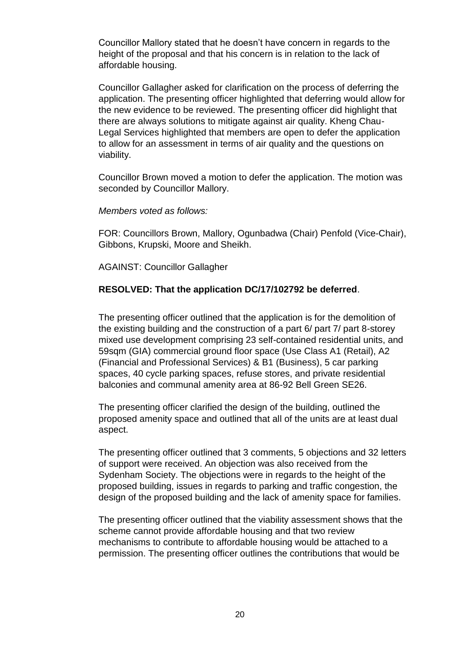Councillor Mallory stated that he doesn't have concern in regards to the height of the proposal and that his concern is in relation to the lack of affordable housing.

Councillor Gallagher asked for clarification on the process of deferring the application. The presenting officer highlighted that deferring would allow for the new evidence to be reviewed. The presenting officer did highlight that there are always solutions to mitigate against air quality. Kheng Chau-Legal Services highlighted that members are open to defer the application to allow for an assessment in terms of air quality and the questions on viability.

Councillor Brown moved a motion to defer the application. The motion was seconded by Councillor Mallory.

*Members voted as follows:* 

FOR: Councillors Brown, Mallory, Ogunbadwa (Chair) Penfold (Vice-Chair), Gibbons, Krupski, Moore and Sheikh.

AGAINST: Councillor Gallagher

## **RESOLVED: That the application DC/17/102792 be deferred**.

The presenting officer outlined that the application is for the demolition of the existing building and the construction of a part 6/ part 7/ part 8-storey mixed use development comprising 23 self-contained residential units, and 59sqm (GIA) commercial ground floor space (Use Class A1 (Retail), A2 (Financial and Professional Services) & B1 (Business), 5 car parking spaces, 40 cycle parking spaces, refuse stores, and private residential balconies and communal amenity area at 86-92 Bell Green SE26.

The presenting officer clarified the design of the building, outlined the proposed amenity space and outlined that all of the units are at least dual aspect.

The presenting officer outlined that 3 comments, 5 objections and 32 letters of support were received. An objection was also received from the Sydenham Society. The objections were in regards to the height of the proposed building, issues in regards to parking and traffic congestion, the design of the proposed building and the lack of amenity space for families.

The presenting officer outlined that the viability assessment shows that the scheme cannot provide affordable housing and that two review mechanisms to contribute to affordable housing would be attached to a permission. The presenting officer outlines the contributions that would be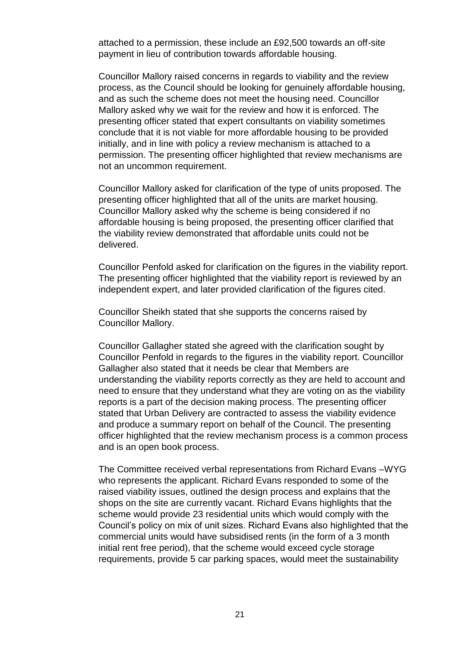attached to a permission, these include an £92,500 towards an off-site payment in lieu of contribution towards affordable housing.

Councillor Mallory raised concerns in regards to viability and the review process, as the Council should be looking for genuinely affordable housing, and as such the scheme does not meet the housing need. Councillor Mallory asked why we wait for the review and how it is enforced. The presenting officer stated that expert consultants on viability sometimes conclude that it is not viable for more affordable housing to be provided initially, and in line with policy a review mechanism is attached to a permission. The presenting officer highlighted that review mechanisms are not an uncommon requirement.

Councillor Mallory asked for clarification of the type of units proposed. The presenting officer highlighted that all of the units are market housing. Councillor Mallory asked why the scheme is being considered if no affordable housing is being proposed, the presenting officer clarified that the viability review demonstrated that affordable units could not be delivered.

Councillor Penfold asked for clarification on the figures in the viability report. The presenting officer highlighted that the viability report is reviewed by an independent expert, and later provided clarification of the figures cited.

Councillor Sheikh stated that she supports the concerns raised by Councillor Mallory.

Councillor Gallagher stated she agreed with the clarification sought by Councillor Penfold in regards to the figures in the viability report. Councillor Gallagher also stated that it needs be clear that Members are understanding the viability reports correctly as they are held to account and need to ensure that they understand what they are voting on as the viability reports is a part of the decision making process. The presenting officer stated that Urban Delivery are contracted to assess the viability evidence and produce a summary report on behalf of the Council. The presenting officer highlighted that the review mechanism process is a common process and is an open book process.

The Committee received verbal representations from Richard Evans –WYG who represents the applicant. Richard Evans responded to some of the raised viability issues, outlined the design process and explains that the shops on the site are currently vacant. Richard Evans highlights that the scheme would provide 23 residential units which would comply with the Council's policy on mix of unit sizes. Richard Evans also highlighted that the commercial units would have subsidised rents (in the form of a 3 month initial rent free period), that the scheme would exceed cycle storage requirements, provide 5 car parking spaces, would meet the sustainability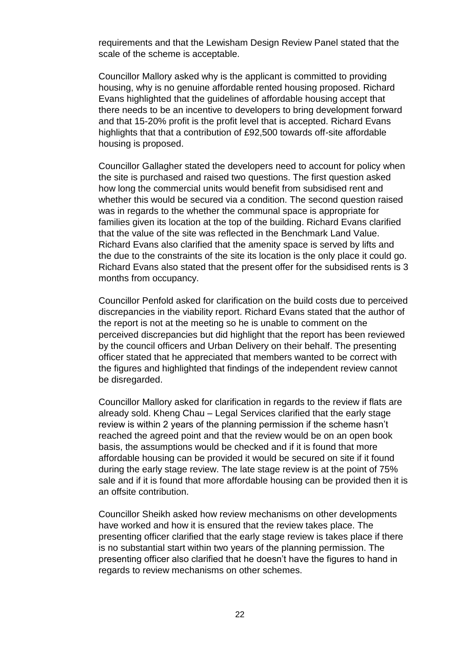requirements and that the Lewisham Design Review Panel stated that the scale of the scheme is acceptable.

Councillor Mallory asked why is the applicant is committed to providing housing, why is no genuine affordable rented housing proposed. Richard Evans highlighted that the guidelines of affordable housing accept that there needs to be an incentive to developers to bring development forward and that 15-20% profit is the profit level that is accepted. Richard Evans highlights that that a contribution of £92,500 towards off-site affordable housing is proposed.

Councillor Gallagher stated the developers need to account for policy when the site is purchased and raised two questions. The first question asked how long the commercial units would benefit from subsidised rent and whether this would be secured via a condition. The second question raised was in regards to the whether the communal space is appropriate for families given its location at the top of the building. Richard Evans clarified that the value of the site was reflected in the Benchmark Land Value. Richard Evans also clarified that the amenity space is served by lifts and the due to the constraints of the site its location is the only place it could go. Richard Evans also stated that the present offer for the subsidised rents is 3 months from occupancy.

Councillor Penfold asked for clarification on the build costs due to perceived discrepancies in the viability report. Richard Evans stated that the author of the report is not at the meeting so he is unable to comment on the perceived discrepancies but did highlight that the report has been reviewed by the council officers and Urban Delivery on their behalf. The presenting officer stated that he appreciated that members wanted to be correct with the figures and highlighted that findings of the independent review cannot be disregarded.

Councillor Mallory asked for clarification in regards to the review if flats are already sold. Kheng Chau – Legal Services clarified that the early stage review is within 2 years of the planning permission if the scheme hasn't reached the agreed point and that the review would be on an open book basis, the assumptions would be checked and if it is found that more affordable housing can be provided it would be secured on site if it found during the early stage review. The late stage review is at the point of 75% sale and if it is found that more affordable housing can be provided then it is an offsite contribution.

Councillor Sheikh asked how review mechanisms on other developments have worked and how it is ensured that the review takes place. The presenting officer clarified that the early stage review is takes place if there is no substantial start within two years of the planning permission. The presenting officer also clarified that he doesn't have the figures to hand in regards to review mechanisms on other schemes.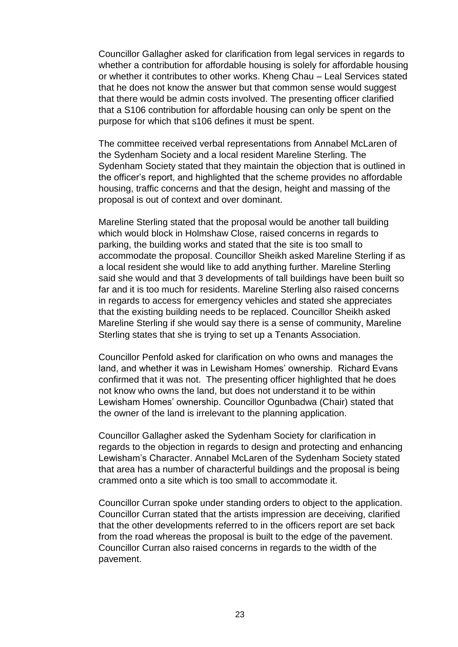Councillor Gallagher asked for clarification from legal services in regards to whether a contribution for affordable housing is solely for affordable housing or whether it contributes to other works. Kheng Chau – Leal Services stated that he does not know the answer but that common sense would suggest that there would be admin costs involved. The presenting officer clarified that a S106 contribution for affordable housing can only be spent on the purpose for which that s106 defines it must be spent.

The committee received verbal representations from Annabel McLaren of the Sydenham Society and a local resident Mareline Sterling. The Sydenham Society stated that they maintain the objection that is outlined in the officer's report, and highlighted that the scheme provides no affordable housing, traffic concerns and that the design, height and massing of the proposal is out of context and over dominant.

Mareline Sterling stated that the proposal would be another tall building which would block in Holmshaw Close, raised concerns in regards to parking, the building works and stated that the site is too small to accommodate the proposal. Councillor Sheikh asked Mareline Sterling if as a local resident she would like to add anything further. Mareline Sterling said she would and that 3 developments of tall buildings have been built so far and it is too much for residents. Mareline Sterling also raised concerns in regards to access for emergency vehicles and stated she appreciates that the existing building needs to be replaced. Councillor Sheikh asked Mareline Sterling if she would say there is a sense of community, Mareline Sterling states that she is trying to set up a Tenants Association.

Councillor Penfold asked for clarification on who owns and manages the land, and whether it was in Lewisham Homes' ownership. Richard Evans confirmed that it was not. The presenting officer highlighted that he does not know who owns the land, but does not understand it to be within Lewisham Homes' ownership. Councillor Ogunbadwa (Chair) stated that the owner of the land is irrelevant to the planning application.

Councillor Gallagher asked the Sydenham Society for clarification in regards to the objection in regards to design and protecting and enhancing Lewisham's Character. Annabel McLaren of the Sydenham Society stated that area has a number of characterful buildings and the proposal is being crammed onto a site which is too small to accommodate it.

Councillor Curran spoke under standing orders to object to the application. Councillor Curran stated that the artists impression are deceiving, clarified that the other developments referred to in the officers report are set back from the road whereas the proposal is built to the edge of the pavement. Councillor Curran also raised concerns in regards to the width of the pavement.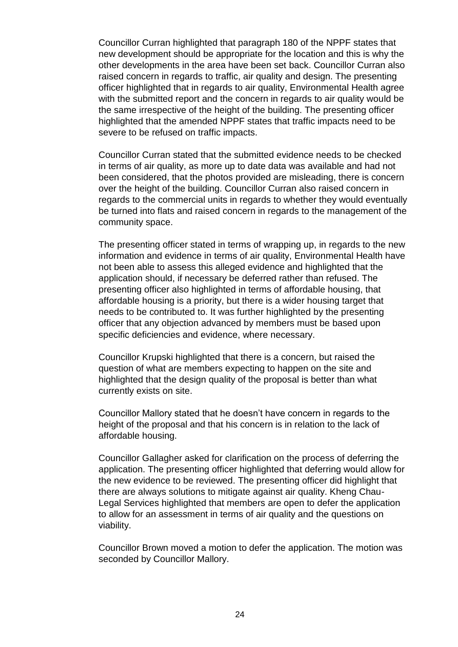Councillor Curran highlighted that paragraph 180 of the NPPF states that new development should be appropriate for the location and this is why the other developments in the area have been set back. Councillor Curran also raised concern in regards to traffic, air quality and design. The presenting officer highlighted that in regards to air quality, Environmental Health agree with the submitted report and the concern in regards to air quality would be the same irrespective of the height of the building. The presenting officer highlighted that the amended NPPF states that traffic impacts need to be severe to be refused on traffic impacts.

Councillor Curran stated that the submitted evidence needs to be checked in terms of air quality, as more up to date data was available and had not been considered, that the photos provided are misleading, there is concern over the height of the building. Councillor Curran also raised concern in regards to the commercial units in regards to whether they would eventually be turned into flats and raised concern in regards to the management of the community space.

The presenting officer stated in terms of wrapping up, in regards to the new information and evidence in terms of air quality, Environmental Health have not been able to assess this alleged evidence and highlighted that the application should, if necessary be deferred rather than refused. The presenting officer also highlighted in terms of affordable housing, that affordable housing is a priority, but there is a wider housing target that needs to be contributed to. It was further highlighted by the presenting officer that any objection advanced by members must be based upon specific deficiencies and evidence, where necessary.

Councillor Krupski highlighted that there is a concern, but raised the question of what are members expecting to happen on the site and highlighted that the design quality of the proposal is better than what currently exists on site.

Councillor Mallory stated that he doesn't have concern in regards to the height of the proposal and that his concern is in relation to the lack of affordable housing.

Councillor Gallagher asked for clarification on the process of deferring the application. The presenting officer highlighted that deferring would allow for the new evidence to be reviewed. The presenting officer did highlight that there are always solutions to mitigate against air quality. Kheng Chau-Legal Services highlighted that members are open to defer the application to allow for an assessment in terms of air quality and the questions on viability.

Councillor Brown moved a motion to defer the application. The motion was seconded by Councillor Mallory.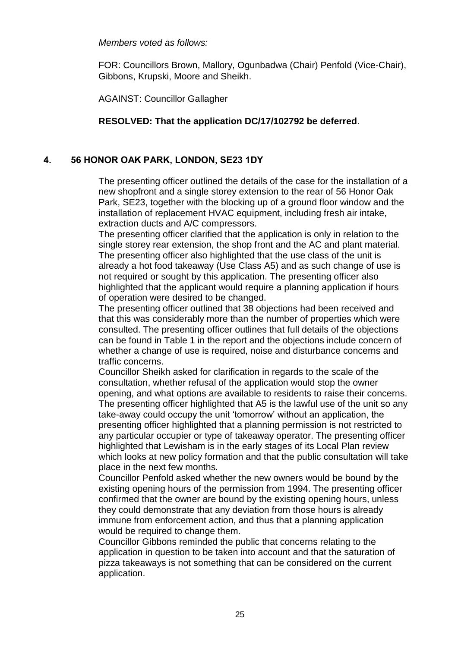*Members voted as follows:* 

FOR: Councillors Brown, Mallory, Ogunbadwa (Chair) Penfold (Vice-Chair), Gibbons, Krupski, Moore and Sheikh.

AGAINST: Councillor Gallagher

# **RESOLVED: That the application DC/17/102792 be deferred**.

# **4. 56 HONOR OAK PARK, LONDON, SE23 1DY**

The presenting officer outlined the details of the case for the installation of a new shopfront and a single storey extension to the rear of 56 Honor Oak Park, SE23, together with the blocking up of a ground floor window and the installation of replacement HVAC equipment, including fresh air intake, extraction ducts and A/C compressors.

The presenting officer clarified that the application is only in relation to the single storey rear extension, the shop front and the AC and plant material. The presenting officer also highlighted that the use class of the unit is already a hot food takeaway (Use Class A5) and as such change of use is not required or sought by this application. The presenting officer also highlighted that the applicant would require a planning application if hours of operation were desired to be changed.

The presenting officer outlined that 38 objections had been received and that this was considerably more than the number of properties which were consulted. The presenting officer outlines that full details of the objections can be found in Table 1 in the report and the objections include concern of whether a change of use is required, noise and disturbance concerns and traffic concerns.

Councillor Sheikh asked for clarification in regards to the scale of the consultation, whether refusal of the application would stop the owner opening, and what options are available to residents to raise their concerns. The presenting officer highlighted that A5 is the lawful use of the unit so any take-away could occupy the unit 'tomorrow' without an application, the presenting officer highlighted that a planning permission is not restricted to any particular occupier or type of takeaway operator. The presenting officer highlighted that Lewisham is in the early stages of its Local Plan review which looks at new policy formation and that the public consultation will take place in the next few months.

Councillor Penfold asked whether the new owners would be bound by the existing opening hours of the permission from 1994. The presenting officer confirmed that the owner are bound by the existing opening hours, unless they could demonstrate that any deviation from those hours is already immune from enforcement action, and thus that a planning application would be required to change them.

Councillor Gibbons reminded the public that concerns relating to the application in question to be taken into account and that the saturation of pizza takeaways is not something that can be considered on the current application.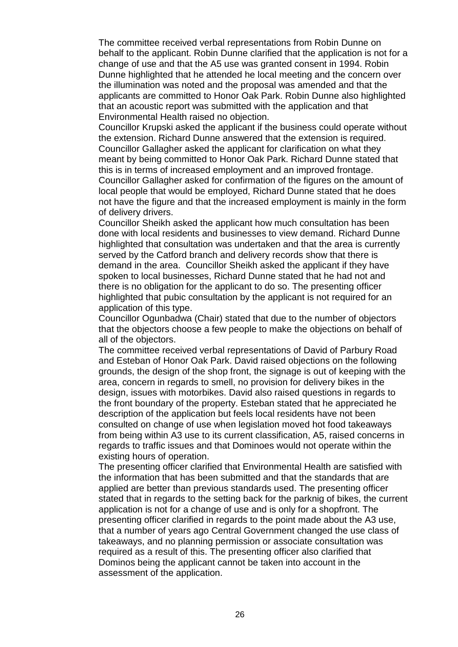The committee received verbal representations from Robin Dunne on behalf to the applicant. Robin Dunne clarified that the application is not for a change of use and that the A5 use was granted consent in 1994. Robin Dunne highlighted that he attended he local meeting and the concern over the illumination was noted and the proposal was amended and that the applicants are committed to Honor Oak Park. Robin Dunne also highlighted that an acoustic report was submitted with the application and that Environmental Health raised no objection.

Councillor Krupski asked the applicant if the business could operate without the extension. Richard Dunne answered that the extension is required. Councillor Gallagher asked the applicant for clarification on what they meant by being committed to Honor Oak Park. Richard Dunne stated that this is in terms of increased employment and an improved frontage. Councillor Gallagher asked for confirmation of the figures on the amount of local people that would be employed, Richard Dunne stated that he does not have the figure and that the increased employment is mainly in the form of delivery drivers.

Councillor Sheikh asked the applicant how much consultation has been done with local residents and businesses to view demand. Richard Dunne highlighted that consultation was undertaken and that the area is currently served by the Catford branch and delivery records show that there is demand in the area. Councillor Sheikh asked the applicant if they have spoken to local businesses, Richard Dunne stated that he had not and there is no obligation for the applicant to do so. The presenting officer highlighted that pubic consultation by the applicant is not required for an application of this type.

Councillor Ogunbadwa (Chair) stated that due to the number of objectors that the objectors choose a few people to make the objections on behalf of all of the objectors.

The committee received verbal representations of David of Parbury Road and Esteban of Honor Oak Park. David raised objections on the following grounds, the design of the shop front, the signage is out of keeping with the area, concern in regards to smell, no provision for delivery bikes in the design, issues with motorbikes. David also raised questions in regards to the front boundary of the property. Esteban stated that he appreciated he description of the application but feels local residents have not been consulted on change of use when legislation moved hot food takeaways from being within A3 use to its current classification, A5, raised concerns in regards to traffic issues and that Dominoes would not operate within the existing hours of operation.

The presenting officer clarified that Environmental Health are satisfied with the information that has been submitted and that the standards that are applied are better than previous standards used. The presenting officer stated that in regards to the setting back for the parknig of bikes, the current application is not for a change of use and is only for a shopfront. The presenting officer clarified in regards to the point made about the A3 use, that a number of years ago Central Government changed the use class of takeaways, and no planning permission or associate consultation was required as a result of this. The presenting officer also clarified that Dominos being the applicant cannot be taken into account in the assessment of the application.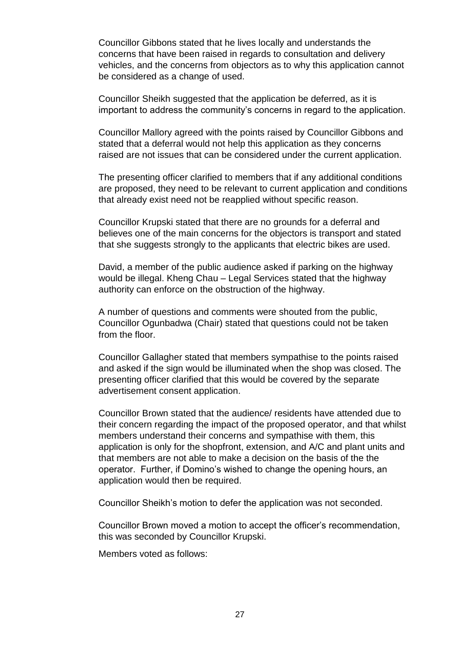Councillor Gibbons stated that he lives locally and understands the concerns that have been raised in regards to consultation and delivery vehicles, and the concerns from objectors as to why this application cannot be considered as a change of used.

Councillor Sheikh suggested that the application be deferred, as it is important to address the community's concerns in regard to the application.

Councillor Mallory agreed with the points raised by Councillor Gibbons and stated that a deferral would not help this application as they concerns raised are not issues that can be considered under the current application.

The presenting officer clarified to members that if any additional conditions are proposed, they need to be relevant to current application and conditions that already exist need not be reapplied without specific reason.

Councillor Krupski stated that there are no grounds for a deferral and believes one of the main concerns for the objectors is transport and stated that she suggests strongly to the applicants that electric bikes are used.

David, a member of the public audience asked if parking on the highway would be illegal. Kheng Chau – Legal Services stated that the highway authority can enforce on the obstruction of the highway.

A number of questions and comments were shouted from the public, Councillor Ogunbadwa (Chair) stated that questions could not be taken from the floor.

Councillor Gallagher stated that members sympathise to the points raised and asked if the sign would be illuminated when the shop was closed. The presenting officer clarified that this would be covered by the separate advertisement consent application.

Councillor Brown stated that the audience/ residents have attended due to their concern regarding the impact of the proposed operator, and that whilst members understand their concerns and sympathise with them, this application is only for the shopfront, extension, and A/C and plant units and that members are not able to make a decision on the basis of the the operator. Further, if Domino's wished to change the opening hours, an application would then be required.

Councillor Sheikh's motion to defer the application was not seconded.

Councillor Brown moved a motion to accept the officer's recommendation, this was seconded by Councillor Krupski.

Members voted as follows: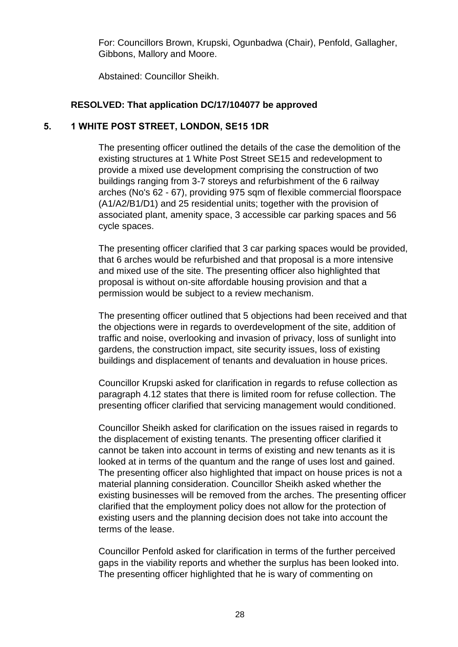For: Councillors Brown, Krupski, Ogunbadwa (Chair), Penfold, Gallagher, Gibbons, Mallory and Moore.

Abstained: Councillor Sheikh.

## **RESOLVED: That application DC/17/104077 be approved**

# **5. 1 WHITE POST STREET, LONDON, SE15 1DR**

The presenting officer outlined the details of the case the demolition of the existing structures at 1 White Post Street SE15 and redevelopment to provide a mixed use development comprising the construction of two buildings ranging from 3-7 storeys and refurbishment of the 6 railway arches (No's 62 - 67), providing 975 sqm of flexible commercial floorspace (A1/A2/B1/D1) and 25 residential units; together with the provision of associated plant, amenity space, 3 accessible car parking spaces and 56 cycle spaces.

The presenting officer clarified that 3 car parking spaces would be provided, that 6 arches would be refurbished and that proposal is a more intensive and mixed use of the site. The presenting officer also highlighted that proposal is without on-site affordable housing provision and that a permission would be subject to a review mechanism.

The presenting officer outlined that 5 objections had been received and that the objections were in regards to overdevelopment of the site, addition of traffic and noise, overlooking and invasion of privacy, loss of sunlight into gardens, the construction impact, site security issues, loss of existing buildings and displacement of tenants and devaluation in house prices.

Councillor Krupski asked for clarification in regards to refuse collection as paragraph 4.12 states that there is limited room for refuse collection. The presenting officer clarified that servicing management would conditioned.

Councillor Sheikh asked for clarification on the issues raised in regards to the displacement of existing tenants. The presenting officer clarified it cannot be taken into account in terms of existing and new tenants as it is looked at in terms of the quantum and the range of uses lost and gained. The presenting officer also highlighted that impact on house prices is not a material planning consideration. Councillor Sheikh asked whether the existing businesses will be removed from the arches. The presenting officer clarified that the employment policy does not allow for the protection of existing users and the planning decision does not take into account the terms of the lease.

Councillor Penfold asked for clarification in terms of the further perceived gaps in the viability reports and whether the surplus has been looked into. The presenting officer highlighted that he is wary of commenting on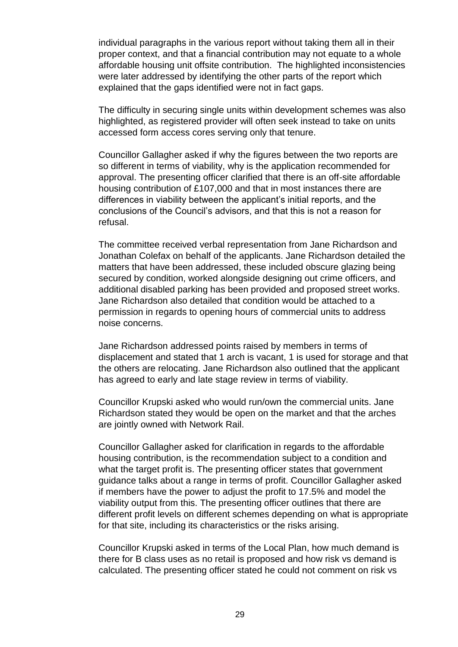individual paragraphs in the various report without taking them all in their proper context, and that a financial contribution may not equate to a whole affordable housing unit offsite contribution. The highlighted inconsistencies were later addressed by identifying the other parts of the report which explained that the gaps identified were not in fact gaps.

The difficulty in securing single units within development schemes was also highlighted, as registered provider will often seek instead to take on units accessed form access cores serving only that tenure.

Councillor Gallagher asked if why the figures between the two reports are so different in terms of viability, why is the application recommended for approval. The presenting officer clarified that there is an off-site affordable housing contribution of £107,000 and that in most instances there are differences in viability between the applicant's initial reports, and the conclusions of the Council's advisors, and that this is not a reason for refusal.

The committee received verbal representation from Jane Richardson and Jonathan Colefax on behalf of the applicants. Jane Richardson detailed the matters that have been addressed, these included obscure glazing being secured by condition, worked alongside designing out crime officers, and additional disabled parking has been provided and proposed street works. Jane Richardson also detailed that condition would be attached to a permission in regards to opening hours of commercial units to address noise concerns.

Jane Richardson addressed points raised by members in terms of displacement and stated that 1 arch is vacant, 1 is used for storage and that the others are relocating. Jane Richardson also outlined that the applicant has agreed to early and late stage review in terms of viability.

Councillor Krupski asked who would run/own the commercial units. Jane Richardson stated they would be open on the market and that the arches are jointly owned with Network Rail.

Councillor Gallagher asked for clarification in regards to the affordable housing contribution, is the recommendation subject to a condition and what the target profit is. The presenting officer states that government guidance talks about a range in terms of profit. Councillor Gallagher asked if members have the power to adjust the profit to 17.5% and model the viability output from this. The presenting officer outlines that there are different profit levels on different schemes depending on what is appropriate for that site, including its characteristics or the risks arising.

Councillor Krupski asked in terms of the Local Plan, how much demand is there for B class uses as no retail is proposed and how risk vs demand is calculated. The presenting officer stated he could not comment on risk vs